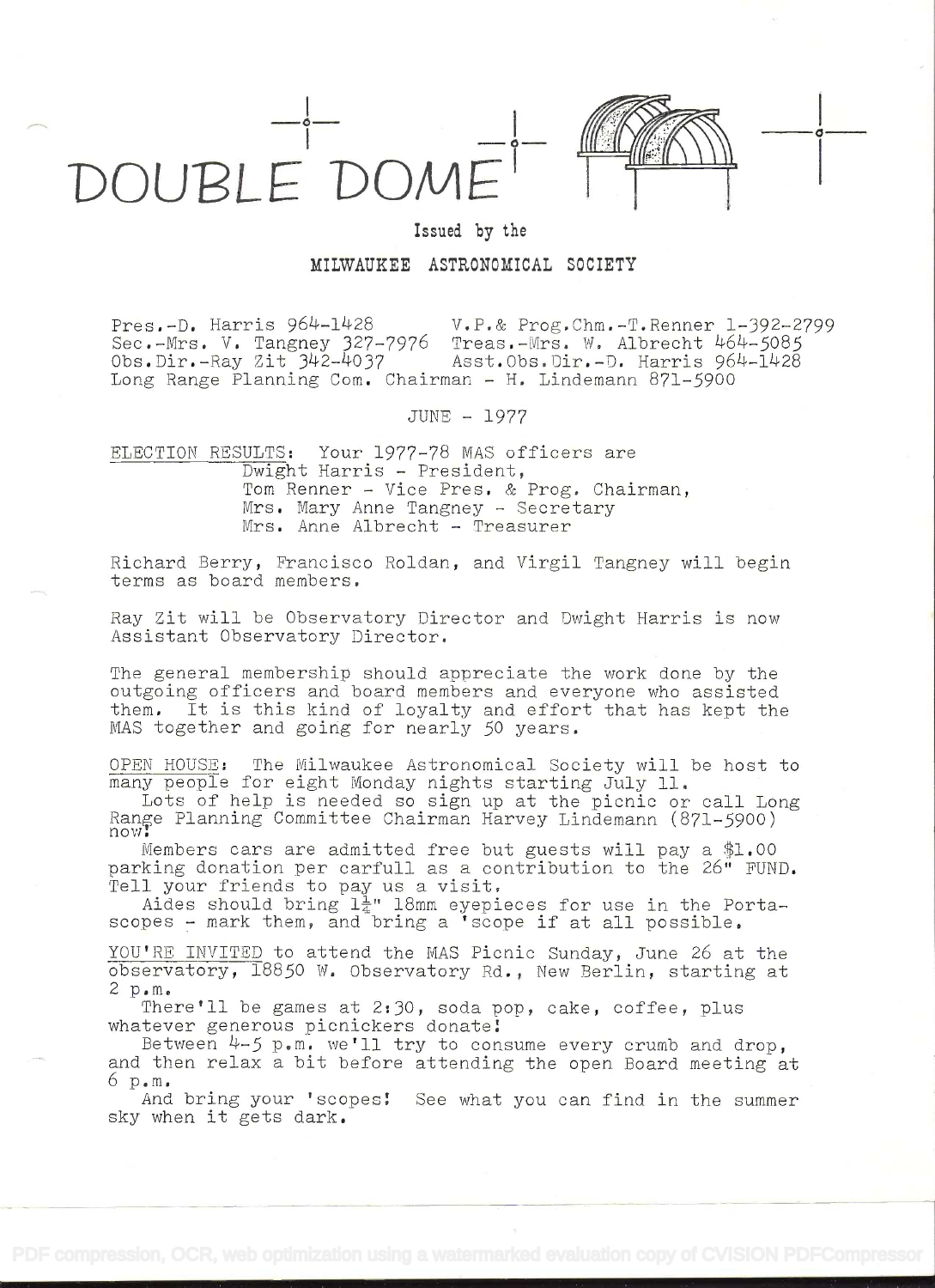

## Issued by the

o

MILWAUKEE ASTRONOMICAL SOCIETY

Pres.-D. Harris 964-1428 V.P.& Prog.Chm.-T.Renner 1-392-2799 Sec.-Mrs. V. Tangney 327-7976 Treas.-Mrs. W. Albrecht 464-5085<br>Obs.Dir.-Ray Zit 342-4037 Asst.Obs.Dir.-D. Harris 964-1428 Asst.Obs.Dir.-D. Harris 964-1428 Long Range Planning Com. Chairman - H. Lindemann 871-5900

JUNE - 1977

ELECTION RESULTS: Your 1977-78 MAS officers are Dwight Harris - President, Tom Renner - Vice Pres. & Prog. Chairman, Mrs. Mary Anne Tangney - Secretary<br>Mrs. Anne Albrecht - Treasurer

Richard Berry, Francisco Roldan, and Virgil Tangney will begin terms as board members.

Ray Zit will be Observatory Director and Dwight Harris is now Assistant Observatory Director.

The general membership should appreciate the work done by the outgoing officers and board members and everyone who assisted them. It is this kind of loyalty and effort that has kept the MAS together and going for nearly 50 years.

OPEN HOUSE: The Milwaukee Astronomical Society will be host to many people for eight Monday nights starting July 11.

Lots of help is needed so sign up at the picnic or call Long<br>Range Planning Committee Chairman Harvey Lindemann (871-5900)<br>now!

Members cars are admitted free but guests will pay a  $$1.00$ parking donation per carfull as a contribution to the 26" FUND.<br>Tell your friends to pay us a visit.<br>Aides should bring  $1\frac{1}{4}$ " 18mm eyepieces for use in the Porta-

scopes - mark them, and bring a 'scope if at all possible.

YOU'RE INVITED to attend the MAS Picnic Sunday, June 26 at the observatory, 18850 W. Observatory Rd., New Berlin, starting at 2 p.m.

There'll be games at 2:30, soda pop, cake, coffee, plus whatever generous picnickers donate!<br>Between  $4-5$  p.m. we'll try to consume every crumb and drop.

and then relax a bit before attending the open Board meeting at  $6p.m.$ 

And bring your 'scopes! See what you can find in the summer sky when it gets dark.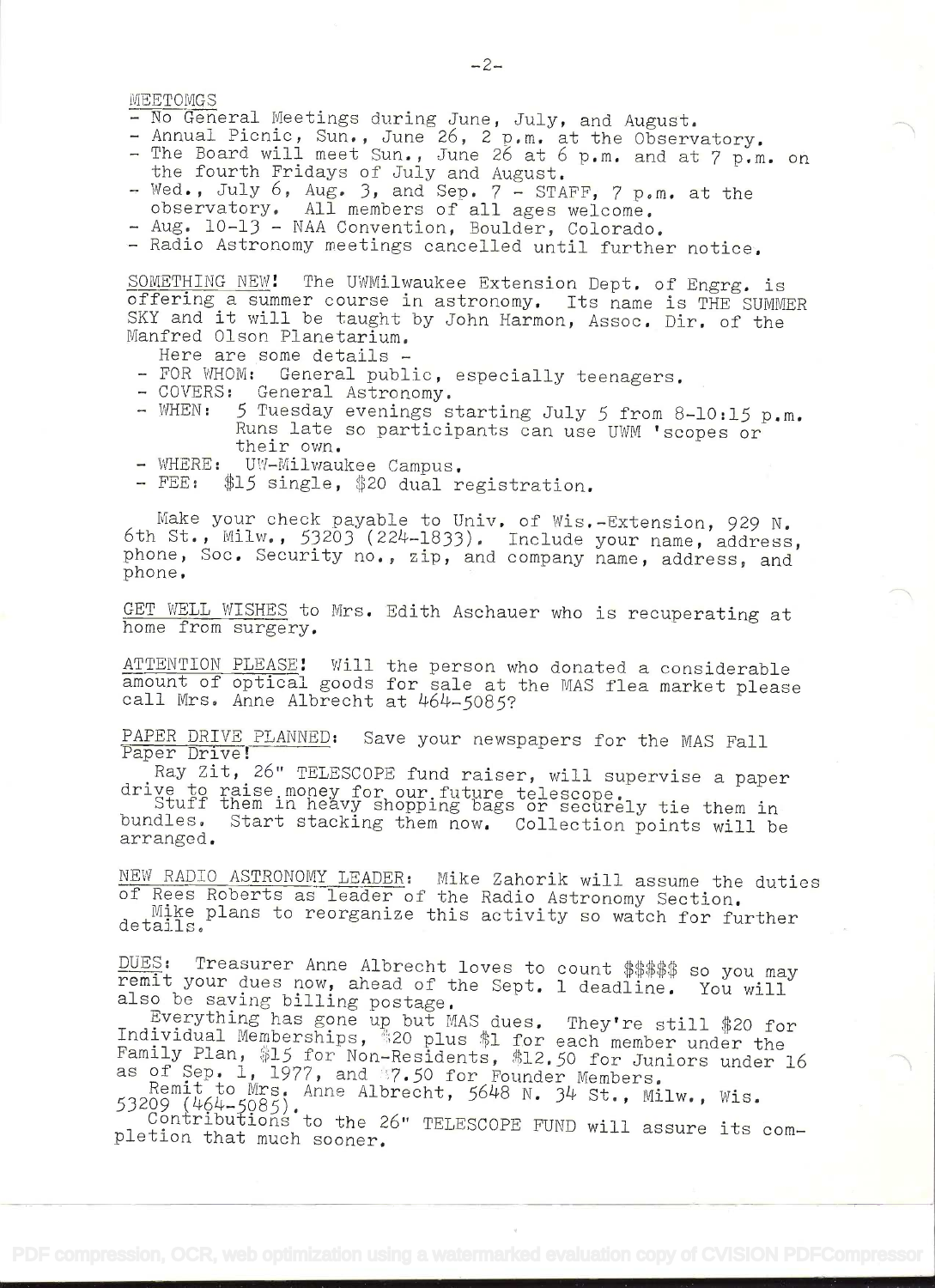- 
- MEETOMGS<br>
 No General Meetings during June, July, and August.<br>
 Annual Picnic, Sun., June 26, 2 p.m. at the Observatory.<br>
 The Board will meet Sun., June 26 at 6 p.m. and at 7 p.m. on<br>
the fourth Fridays of July and Aug
- 
- 

SOMETHING NEW! The UWMilwaukee Extension Dept. of Engrg. is<br>offering a summer course in astronomy. Its name is THE SUMMER SKY and it will be taught by John Harmon, Assoc. Dir. of the Manfred Olson Planetarium.<br>Manfred Olson Planetarium.<br>Here are some details -

- 
- 
- 
- FOR WHOM: General public, especially teenagers.<br>- COVERS: General Astronomy.<br>- WHEN: 5 Tuesday evenings starting July 5 from 8-10:15 p.m.<br>Runs late so participants can use UWM 'scopes or<br>their own.<br>- WHERE: UW-Milwaukee
- 
- 

Make your check payable to Univ. of Wis.-Extension, 929 N.<br>6th St., Milw., 53203 (224-1833). Include your name, address, phone, Soc. Security no., zip, and company name, address, and phone.

GET WELL WISHES to Mrs. Edith Aschauer who is recuperating at home from surgery.

ATTENTION PLEASE: Will the person who donated a considerable mount of optical goods for sale at the MAS flea market please<br>call Mrs. Anne Albrecht at 464-5085?

PAPER DRIVE PLANNED: Save your newspapers for the MAS Fall<br>Paper Drive!<br>Ray Zit, 26" TELESCOPE fund raiser, will supervise a paper

drive to raise money for our future telescope.<br>Stuff them in heavy shopping bags or securely tie them in<br>bundles. Start stacking them now. Collection points will be<br>arranged.

NEW RADIO ASTRONOMY LEADER: Mike Zahorik will assume the duties of Rees Roberts as leader of the Radio Astronomy Section.<br>Mike plans to reorganize this activity so watch for further details.

DUES: Treasurer Anne Albrecht loves to count \$\$\$\$\$ so you may<br>remit your dues now, ahead of the Sept. 1 deadline. You will<br>also be saving billing postage.<br>Everything has gone up but MAS dues. They're still \$20 for<br>Individu